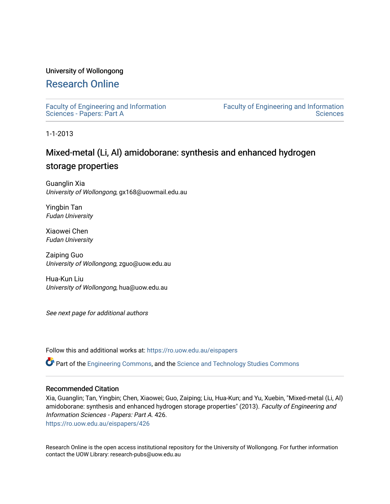## University of Wollongong

# [Research Online](https://ro.uow.edu.au/)

[Faculty of Engineering and Information](https://ro.uow.edu.au/eispapers)  [Sciences - Papers: Part A](https://ro.uow.edu.au/eispapers) 

[Faculty of Engineering and Information](https://ro.uow.edu.au/eis)  **Sciences** 

1-1-2013

# Mixed-metal (Li, Al) amidoborane: synthesis and enhanced hydrogen storage properties

Guanglin Xia University of Wollongong, gx168@uowmail.edu.au

Yingbin Tan Fudan University

Xiaowei Chen Fudan University

Zaiping Guo University of Wollongong, zguo@uow.edu.au

Hua-Kun Liu University of Wollongong, hua@uow.edu.au

See next page for additional authors

Follow this and additional works at: [https://ro.uow.edu.au/eispapers](https://ro.uow.edu.au/eispapers?utm_source=ro.uow.edu.au%2Feispapers%2F426&utm_medium=PDF&utm_campaign=PDFCoverPages)

Part of the [Engineering Commons](http://network.bepress.com/hgg/discipline/217?utm_source=ro.uow.edu.au%2Feispapers%2F426&utm_medium=PDF&utm_campaign=PDFCoverPages), and the [Science and Technology Studies Commons](http://network.bepress.com/hgg/discipline/435?utm_source=ro.uow.edu.au%2Feispapers%2F426&utm_medium=PDF&utm_campaign=PDFCoverPages)

#### Recommended Citation

Xia, Guanglin; Tan, Yingbin; Chen, Xiaowei; Guo, Zaiping; Liu, Hua-Kun; and Yu, Xuebin, "Mixed-metal (Li, Al) amidoborane: synthesis and enhanced hydrogen storage properties" (2013). Faculty of Engineering and Information Sciences - Papers: Part A. 426.

[https://ro.uow.edu.au/eispapers/426](https://ro.uow.edu.au/eispapers/426?utm_source=ro.uow.edu.au%2Feispapers%2F426&utm_medium=PDF&utm_campaign=PDFCoverPages)

Research Online is the open access institutional repository for the University of Wollongong. For further information contact the UOW Library: research-pubs@uow.edu.au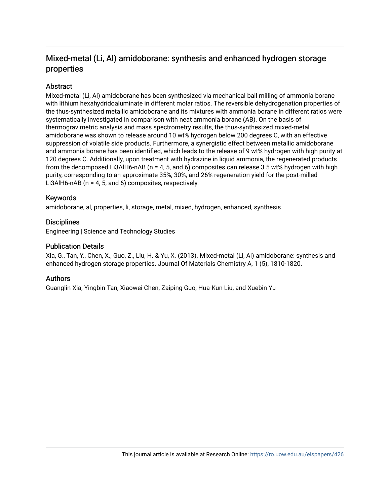# Mixed-metal (Li, Al) amidoborane: synthesis and enhanced hydrogen storage properties

# **Abstract**

Mixed-metal (Li, Al) amidoborane has been synthesized via mechanical ball milling of ammonia borane with lithium hexahydridoaluminate in different molar ratios. The reversible dehydrogenation properties of the thus-synthesized metallic amidoborane and its mixtures with ammonia borane in different ratios were systematically investigated in comparison with neat ammonia borane (AB). On the basis of thermogravimetric analysis and mass spectrometry results, the thus-synthesized mixed-metal amidoborane was shown to release around 10 wt% hydrogen below 200 degrees C, with an effective suppression of volatile side products. Furthermore, a synergistic effect between metallic amidoborane and ammonia borane has been identified, which leads to the release of 9 wt% hydrogen with high purity at 120 degrees C. Additionally, upon treatment with hydrazine in liquid ammonia, the regenerated products from the decomposed Li3AlH6-nAB (n = 4, 5, and 6) composites can release 3.5 wt% hydrogen with high purity, corresponding to an approximate 35%, 30%, and 26% regeneration yield for the post-milled Li3AlH6-nAB (n = 4, 5, and 6) composites, respectively.

## Keywords

amidoborane, al, properties, li, storage, metal, mixed, hydrogen, enhanced, synthesis

## **Disciplines**

Engineering | Science and Technology Studies

## Publication Details

Xia, G., Tan, Y., Chen, X., Guo, Z., Liu, H. & Yu, X. (2013). Mixed-metal (Li, Al) amidoborane: synthesis and enhanced hydrogen storage properties. Journal Of Materials Chemistry A, 1 (5), 1810-1820.

## Authors

Guanglin Xia, Yingbin Tan, Xiaowei Chen, Zaiping Guo, Hua-Kun Liu, and Xuebin Yu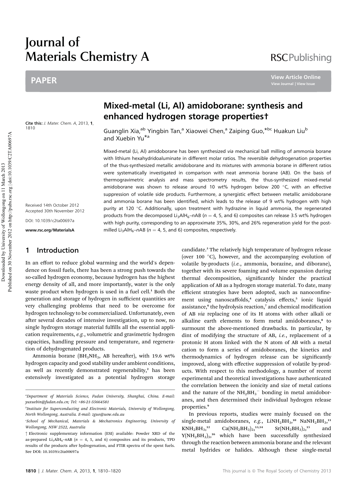# Journal of Materials Chemistry A

# PAPER

**RSCPublishing** 

**View Article Online**

Cite this: *J. Mater. Chem. A*, 2013, 1, 1810

Received 14th October 2012 Accepted 30th November 2012

DOI: 10.1039/c2ta00697a

www.rsc.org/MaterialsA

# 1 Introduction

In an effort to reduce global warming and the world's dependence on fossil fuels, there has been a strong push towards the so-called hydrogen economy, because hydrogen has the highest energy density of all, and more importantly, water is the only waste product when hydrogen is used in a fuel cell.<sup>1</sup> Both the generation and storage of hydrogen in sufficient quantities are very challenging problems that need to be overcome for hydrogen technology to be commercialized. Unfortunately, even after several decades of intensive investigation, up to now, no single hydrogen storage material fulfills all the essential application requirements, e.g., volumetric and gravimetric hydrogen capacities, handling pressure and temperature, and regeneration of dehydrogenated products.

Ammonia borane ( $BH<sub>3</sub>NH<sub>3</sub>$ , AB hereafter), with 19.6 wt% hydrogen capacity and good stability under ambient conditions, as well as recently demonstrated regenerability, $2$  has been extensively investigated as a potential hydrogen storage

# Mixed-metal (Li, Al) amidoborane: synthesis and enhanced hydrogen storage properties†

Guanglin Xia,<sup>ab</sup> Yingbin Tan,<sup>a</sup> Xiaowei Chen,<sup>a</sup> Zaiping Guo,<sup>\*bc</sup> Huakun Liu<sup>b</sup> and Xuebin Yu\*<sup>a</sup>

Mixed-metal (Li, Al) amidoborane has been synthesized via mechanical ball milling of ammonia borane with lithium hexahydridoaluminate in different molar ratios. The reversible dehydrogenation properties of the thus-synthesized metallic amidoborane and its mixtures with ammonia borane in different ratios were systematically investigated in comparison with neat ammonia borane (AB). On the basis of thermogravimetric analysis and mass spectrometry results, the thus-synthesized mixed-metal amidoborane was shown to release around 10 wt% hydrogen below 200  $\degree$ C, with an effective suppression of volatile side products. Furthermore, a synergistic effect between metallic amidoborane and ammonia borane has been identified, which leads to the release of 9 wt% hydrogen with high purity at 120 °C. Additionally, upon treatment with hydrazine in liquid ammonia, the regenerated products from the decomposed Li<sub>3</sub>AlH<sub>6</sub>–nAB ( $n = 4$ , 5, and 6) composites can release 3.5 wt% hydrogen with high purity, corresponding to an approximate 35%, 30%, and 26% regeneration yield for the postmilled Li<sub>3</sub>AlH<sub>6</sub>–nAB ( $n = 4$ , 5, and 6) composites, respectively.

> candidate.<sup>3</sup> The relatively high temperature of hydrogen release (over 100  $^{\circ}$ C), however, and the accompanying evolution of volatile by-products (i.e., ammonia, borazine, and diborane), together with its severe foaming and volume expansion during thermal decomposition, significantly hinder the practical application of AB as a hydrogen storage material. To date, many efficient strategies have been adopted, such as nanoconfinement using nanoscaffolds,<sup>4</sup> catalysis effects,<sup>5</sup> ionic liquid assistance,<sup>6</sup> the hydrolysis reaction,<sup>7</sup> and chemical modification of AB via replacing one of its H atoms with other alkali or alkaline earth elements to form metal amidoboranes.<sup>8</sup> to surmount the above-mentioned drawbacks. In particular, by dint of modifying the structure of AB, i.e., replacement of a protonic H atom linked with the N atom of AB with a metal cation to form a series of amidoboranes, the kinetics and thermodynamics of hydrogen release can be significantly improved, along with effective suppression of volatile by-products. With respect to this methodology, a number of recent experimental and theoretical investigations have authenticated the correlation between the ionicity and size of metal cations and the nature of the  $NH<sub>2</sub>BH<sub>3</sub><sup>-</sup>$  bonding in metal amidoboranes, and then determined their individual hydrogen release properties.<sup>9</sup>

> In previous reports, studies were mainly focused on the single-metal amidoboranes, e.g.,  $LiNH_2BH_3$ ,<sup>10</sup> NaNH<sub>2</sub>BH<sub>3</sub>,<sup>11</sup>  $KNH<sub>2</sub>BH<sub>3</sub>,<sup>12</sup>$  $Ca(NH<sub>2</sub>BH<sub>3</sub>)<sub>2</sub>$ , 13,14  $Sr(NH<sub>2</sub>BH<sub>3</sub>)<sub>2</sub>,<sup>15</sup>$ and Y(NH<sub>2</sub>BH<sub>3</sub>)<sub>3</sub>,<sup>16</sup> which have been successfully synthesized through the reaction between ammonia borane and the relevant metal hydrides or halides. Although these single-metal

a Department of Materials Science, Fudan University, Shanghai, China. E-mail: yuxuebin@fudan.edu.cn; Tel: +86-21-55664581

b Institute for Superconducting and Electronic Materials, University of Wollongong, North Wollongong, Australia. E-mail: zguo@uow.edu.au

c School of Mechanical, Materials & Mechatronics Engineering, University of Wollongong, NSW 2522, Australia

<sup>†</sup> Electronic supplementary information (ESI) available: Powder XRD of the as-prepared Li<sub>3</sub>AlH<sub>6</sub>-nAB ( $n = 4$ , 5, and 6) composites and its products, TPD results of the products after hydrogenation, and FTIR spectra of the spent fuels. See DOI: 10.1039/c2ta00697a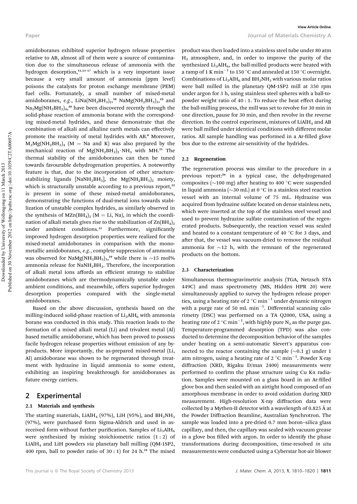Paper Journal of Materials Chemistry A **View Article Online**

amidoboranes exhibited superior hydrogen release properties relative to AB, almost all of them were a source of contamination due to the simultaneous release of ammonia with the hydrogen desorption, $1,1,1,3-17$  which is a very important issue because a very small amount of ammonia (ppm level) poisons the catalysts for proton exchange membrane (PEM) fuel cells. Fortunately, a small number of mixed-metal amidoboranes, e.g., LiNa $(NH_2BH_3)_2$ ,<sup>18</sup> NaMg $(NH_2BH_3)_3$ ,<sup>19</sup> and  $\rm Na_2Mg(NH_2BH_3)_4,^{20}$  have been discovered recently through the solid-phase reaction of ammonia borane with the corresponding mixed-metal hydrides, and these demonstrate that the combination of alkali and alkaline earth metals can effectively promote the reactivity of metal hydrides with AB.<sup>8</sup> Moreover,  $M_2Mg(NH_2BH_3)_4$  (M = Na and K) was also prepared by the mechanical reaction of  $Mg(NH_2BH_3)_2 \cdot NH_3$  with MH.<sup>21</sup> The thermal stability of the amidoboranes can then be tuned towards favourable dehydrogenation properties. A noteworthy feature is that, due to the incorporation of other structurestabilizing ligands [NaNH<sub>2</sub>BH<sub>3</sub>], the Mg(NH<sub>2</sub>BH<sub>3</sub>)<sub>2</sub> moiety, which is structurally unstable according to a previous report, $22$ is present in some of these mixed-metal amidoboranes, demonstrating the functions of dual-metal ions towards stabilization of unstable complex hydrides, as similarly observed in the synthesis of MZn $(BH_4)$ <sub>3</sub> (M = Li, Na), in which the coordination of alkali metals gives rise to the stabilization of  $\text{Zn}(BH_4)_2$ under ambient conditions.<sup>23</sup> Furthermore, significantly improved hydrogen desorption properties were realized for the mixed-metal amidoboranes in comparison with the monometallic amidoboranes, e.g., complete suppression of ammonia was observed for NaMg(NH<sub>2</sub>BH<sub>3</sub>)<sub>3</sub>,<sup>19</sup> while there is  $\sim$ 15 mol% ammonia release for NaNH2BH3. Therefore, the incorporation of alkali metal ions affords an efficient strategy to stabilize amidoboranes which are thermodynamically unstable under ambient conditions, and meanwhile, offers superior hydrogen desorption properties compared with the single-metal amidoboranes.

Based on the above discussion, synthesis based on the milling-induced solid-phase reaction of  $Li<sub>3</sub>AlH<sub>6</sub>$  with ammonia borane was conducted in this study. This reaction leads to the formation of a mixed alkali metal (Li) and trivalent metal (Al) based metallic amidoborane, which has been proved to possess facile hydrogen release properties without emission of any byproducts. More importantly, the as-prepared mixed-metal (Li, Al) amidoborane was shown to be regenerated through treatment with hydrazine in liquid ammonia to some extent, exhibiting an inspiring breakthrough for amidoboranes as future energy carriers.

#### 2 Experimental

#### 2.1 Materials and synthesis

The starting materials, LiAlH<sub>4</sub> (97%), LiH (95%), and BH<sub>3</sub>NH<sub>3</sub> (97%), were purchased form Sigma-Aldrich and used in asreceived form without further purification. Samples of  $Li<sub>3</sub>AlH<sub>6</sub>$ were synthesized by mixing stoichiometric ratios (1 : 2) of LiAlH<sub>4</sub> and LiH powders *via* planetary ball milling (QM-1SP2, 400 rpm, ball to powder ratio of  $30:1$  for 24 h.<sup>24</sup> The mixed

product was then loaded into a stainless steel tube under 80 atm  $H<sub>2</sub>$  atmosphere, and, in order to improve the purity of the synthesized  $Li<sub>3</sub>AIH<sub>6</sub>$ , the ball-milled products were heated with a ramp of 1 K min $^{-1}$  to 150  $^{\circ}$ C and annealed at 150  $^{\circ}$ C overnight. Combinations of  $Li<sub>3</sub>AIH<sub>6</sub>$  and  $BH<sub>3</sub>NH<sub>3</sub>$  with various molar ratios were ball milled in the planetary QM-1SP2 mill at 350 rpm under argon for 3 h, using stainless steel spheres with a ball-topowder weight ratio of 40 : 1. To reduce the heat effect during the ball-milling process, the mill was set to revolve for 30 min in one direction, pause for 30 min, and then revolve in the reverse direction. In the control experiment, mixtures of  $LiAlH<sub>4</sub>$  and AB were ball milled under identical conditions with different molar ratios. All sample handling was performed in a Ar-filled glove box due to the extreme air-sensitivity of the hydrides.

#### 2.2 Regeneration

The regeneration process was similar to the procedure in a previous report: $2a$  in a typical case, the dehydrogenated composites ( $\sim$ 100 mg) after heating to 400 °C were suspended in liquid ammonia ( $\sim$ 30 mL) at 0  $^{\circ}$ C in a stainless steel reaction vessel with an internal volume of 75 mL. Hydrazine was acquired from hydrazine sulfate located on dense stainless nets, which were inserted at the top of the stainless steel vessel and used to prevent hydrazine sulfate contamination of the regenerated products. Subsequently, the reaction vessel was sealed and heated to a constant temperature of 40  $\degree$ C for 3 days, and after that, the vessel was vacuum-dried to remove the residual ammonia for  $\sim$ 12 h, with the remnant of the regenerated products on the bottom.

#### 2.3 Characterization

Simultaneous thermogravimetric analysis (TGA, Netzsch STA 449C) and mass spectrometry (MS, Hidden HPR 20) were simultaneously applied to survey the hydrogen release properties, using a heating rate of 2  $^{\circ}$ C min<sup>-1</sup> under dynamic nitrogen with a purge rate of 50 mL  $min^{-1}$ . Differential scanning calorimetry (DSC) was performed on a TA Q2000, USA, using a heating rate of 2  $^{\circ} \text{C min}^{-1}$ , with highly pure N<sub>2</sub> as the purge gas. Temperature-programmed desorption (TPD) was also conducted to determine the decomposition behavior of the samples under heating on a semi-automatic Sievert's apparatus connected to the reactor containing the sample  $(\sim 0.1 \text{ g})$  under 1 atm nitrogen, using a heating rate of 2  $^{\circ}$ C min<sup>-1</sup>. Powder X-ray diffraction (XRD, Rigaku D/max 2400) measurements were performed to confirm the phase structure using Cu K $\alpha$  radiation. Samples were mounted on a glass board in an Ar-filled glove box and then sealed with an airtight hood composed of an amorphous membrane in order to avoid oxidation during XRD measurement. High-resolution X-ray diffraction data were collected by a Mythen-II detector with a wavelength of 0.825  $\AA$  at the Powder Diffraction Beamline, Australian Synchrotron. The sample was loaded into a pre-dried 0.7 mm boron–silica glass capillary, and then, the capillary was sealed with vacuum grease in a glove box filled with argon. In order to identify the phase transformations during decomposition, time-resolved in situ measurements were conducted using a Cyberstar hot-air blower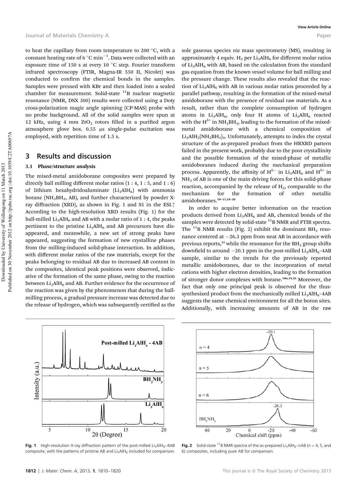to heat the capillary from room temperature to 200 °C, with a constant heating rate of 6  $^{\circ} \mathrm{C} \min^{-1}$ . Data were collected with an exposure time of 150 s at every 10  $^{\circ}\mathrm{C}$  step. Fourier transform infrared spectroscopy (FTIR, Magna-IR 550 II, Nicolet) was conducted to confirm the chemical bonds in the samples. Samples were pressed with KBr and then loaded into a sealed chamber for measurement. Solid-state  $11B$  nuclear magnetic resonance (NMR, DSX 300) results were collected using a Doty cross-polarization magic angle spinning (CP-MAS) probe with no probe background. All of the solid samples were spun at 12 kHz, using 4 mm  $ZrO<sub>2</sub>$  rotors filled in a purified argon atmosphere glove box. 0.55 us single-pulse excitation was employed, with repetition time of 1.5 s.

#### 3 Results and discussion

#### 3.1 Phase/structure analysis

The mixed-metal amidoborane composites were prepared by directly ball milling different molar ratios  $(1:4, 1:5,$  and  $1:6)$ of lithium hexahydridoaluminate  $(Li<sub>3</sub>AlH<sub>6</sub>)$  with ammonia borane ( $NH<sub>3</sub>BH<sub>3</sub>$ , AB), and further characterized by powder Xray diffraction (XRD), as shown in Fig. 1 and S1 in the ESI.† According to the high-resolution XRD results (Fig. 1) for the ball-milled  $Li<sub>3</sub>AIH<sub>6</sub>$  and AB with a molar ratio of 1 : 4, the peaks pertinent to the pristine  $Li<sub>3</sub>AlH<sub>6</sub>$  and AB precursors have disappeared, and meanwhile, a new set of strong peaks have appeared, suggesting the formation of new crystalline phases from the milling-induced solid-phase interaction. In addition, with different molar ratios of the raw materials, except for the peaks belonging to residual AB due to increased AB content in the composites, identical peak positions were observed, indicative of the formation of the same phase, owing to the reaction between  $Li<sub>3</sub>AIH<sub>6</sub>$  and AB. Further evidence for the occurrence of the reaction was given by the phenomenon that during the ballmilling process, a gradual pressure increase was detected due to the release of hydrogen, which was subsequently certified as the

sole gaseous species *via* mass spectrometry (MS), resulting in approximately 4 equiv.  $H_2$  per Li<sub>3</sub>AlH<sub>6</sub> for different molar ratios of  $Li<sub>3</sub>AIH<sub>6</sub>$  with AB, based on the calculation from the standard gas equation from the known vessel volume for ball milling and the pressure change. These results also revealed that the reaction of  $Li<sub>3</sub>AIH<sub>6</sub>$  with AB in various molar ratios proceeded by a parallel pathway, resulting in the formation of the mixed-metal amidoborane with the presence of residual raw materials. As a result, rather than the complete consumption of hydrogen atoms in  $Li<sub>3</sub>AlH<sub>6</sub>$ , only four H atoms of  $Li<sub>3</sub>AlH<sub>6</sub>$  reacted with the  $H^{\delta+}$  in NH<sub>3</sub>BH<sub>3</sub>, leading to the formation of the mixedmetal amidoborane with a chemical composition of  $Li<sub>3</sub>AlH<sub>2</sub>(NH<sub>2</sub>BH<sub>3</sub>)<sub>4</sub>$ . Unfortunately, attempts to index the crystal structure of the as-prepared product from the HRXRD pattern failed in the present work, probably due to the poor crystallinity and the possible formation of the mixed-phase of metallic amidoboranes induced during the mechanical preparation process. Apparently, the affinity of  $H^{\delta-}$  in Li<sub>3</sub>AlH<sub>6</sub> and  $H^{\delta+}$  in  $NH<sub>3</sub>$  of AB is one of the main driving forces for this solid-phase reaction, accompanied by the release of  $H<sub>2</sub>$ , comparable to the mechanism for the formation of other metallic amidoboranes.<sup>10</sup>–15,18–<sup>20</sup>

In order to acquire better information on the reaction products derived from  $Li<sub>3</sub>AlH<sub>6</sub>$  and AB, chemical bonds of the samples were detected by solid-state <sup>11</sup>B NMR and FTIR spectra. The  $^{11}$ B NMR results (Fig. 2) exhibit the dominant BH<sub>3</sub> resonance centered at  $-26.3$  ppm from neat AB in accordance with previous reports,<sup>25</sup> while the resonance for the  $BH<sub>3</sub>$  group shifts downfield to around  $-20.1$  ppm in the post-milled  $Li<sub>3</sub>AlH<sub>6</sub>$ -4AB sample, similar to the trends for the previously reported metallic amidoboranes, due to the incorporation of metal cations with higher electron densities, leading to the formation of stronger donor complexes with borane.<sup>10</sup>a,19,26 Moreover, the fact that only one principal peak is observed for the thussynthesized product from the mechanically milled  $Li<sub>3</sub>AIH<sub>6</sub>-4AB$ suggests the same chemical environment for all the boron sites. Additionally, with increasing amounts of AB in the raw



**Fig. 1** High-resolution X-ray diffraction pattern of the post-milled Li<sub>2</sub>AlH $_{6}$ –4AB composite, with the patterns of pristine AB and  $Li<sub>3</sub>AlH<sub>6</sub>$  included for comparison.



**Fig. 2** Solid-state <sup>11</sup>B NMR spectra of the as-prepared Li<sub>3</sub>AlH<sub>6</sub>–nAB ( $n = 4$ , 5, and 6) composites, including pure AB for comparison.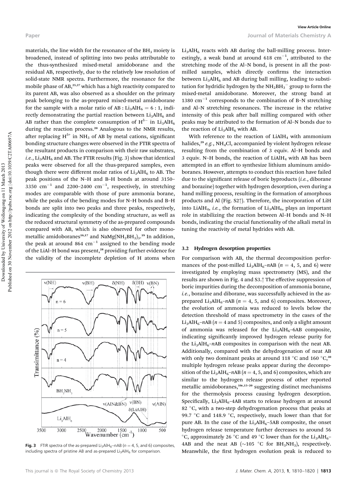materials, the line width for the resonance of the  $BH<sub>3</sub>$  moiety is broadened, instead of splitting into two peaks attributable to the thus-synthesized mixed-metal amidoborane and the residual AB, respectively, due to the relatively low resolution of solid-state NMR spectra. Furthermore, the resonance for the mobile phase of AB,<sup>25,27</sup> which has a high reactivity compared to its parent AB, was also observed as a shoulder on the primary peak belonging to the as-prepared mixed-metal amidoborane for the sample with a molar ratio of AB :  $Li<sub>3</sub>AlH<sub>6</sub> = 6 : 1$ , indirectly demonstrating the partial reaction between  $Li<sub>3</sub>AlH<sub>6</sub>$  and AB rather than the complete consumption of  $H^{\delta-}$  in Li<sub>3</sub>AlH<sub>6</sub> during the reaction process.<sup>20</sup> Analogous to the NMR results, after replacing  $H^{\delta+}$  in NH<sub>3</sub> of AB by metal cations, significant bonding structure changes were observed in the FTIR spectra of the resultant products in comparison with their raw substrates, *i.e.*, Li<sub>3</sub>AlH<sub>6</sub> and AB. The FTIR results (Fig. 3) show that identical peaks were observed for all the thus-prepared samples, even though there were different molar ratios of  $Li<sub>3</sub>AlH<sub>6</sub>$  to AB. The peak positions of the N–H and B–H bonds at around 3150– 3350  $\text{cm}^{-1}$  and 2200-2400  $\text{cm}^{-1}$ , respectively, in stretching modes are comparable with those of pure ammonia borane, while the peaks of the bending modes for N–H bonds and B–H bonds are split into two peaks and three peaks, respectively, indicating the complexity of the bonding structure, as well as the reduced structural symmetry of the as-prepared compounds compared with AB, which is also observed for other monometallic amidoboranes $^{16,17}$  and NaMg(NH<sub>2</sub>BH<sub>3</sub>)<sub>3</sub>.19 In addition, the peak at around 864  $cm^{-1}$  assigned to the bending mode of the LiAl-H bond was present,<sup>28</sup> providing further evidence for the validity of the incomplete depletion of H atoms when



**Fig. 3** FTIR spectra of the as-prepared Li<sub>3</sub>AlH<sub>6</sub>–nAB ( $n = 4$ , 5, and 6) composites, including spectra of pristine AB and as-prepared  $Li<sub>3</sub>AlH<sub>6</sub>$  for comparison.

 $Li<sub>3</sub>AlH<sub>6</sub>$  reacts with AB during the ball-milling process. Interestingly, a weak band at around  $618 \text{ cm}^{-1}$ , attributed to the stretching mode of the Al–N bond, is present in all the postmilled samples, which directly confirms the interaction between  $Li<sub>3</sub>AIH<sub>6</sub>$  and AB during ball milling, leading to substitution for hydridic hydrogen by the  $NH<sub>2</sub>BH<sub>3</sub><sup>-</sup>$  group to form the mixed-metal amidoborane. Moreover, the strong band at 1380  $\text{cm}^{-1}$  corresponds to the combination of B–N stretching and Al–N stretching resonances. The increase in the relative intensity of this peak after ball milling compared with other peaks may be attributed to the formation of Al–N bonds due to the reaction of  $Li<sub>3</sub>AlH<sub>6</sub>$  with AB.

With reference to the reaction of  $LiAlH<sub>4</sub>$  with ammonium halides,<sup>29</sup> e.g., NH<sub>4</sub>Cl, accompanied by violent hydrogen release resulting from the combination of 3 equiv. Al–H bonds and 3 equiv. N-H bonds, the reaction of  $LiAlH<sub>4</sub>$  with AB has been attempted in an effort to synthesize lithium aluminum amidoboranes. However, attempts to conduct this reaction have failed due to the significant release of boric byproducts (i.e., diborane and borazine) together with hydrogen desorption, even during a hand milling process, resulting in the formation of amorphous products and Al (Fig. S2†). Therefore, the incorporation of LiH into LiAlH<sub>4</sub>, *i.e.*, the formation of  $Li<sub>3</sub>AlH<sub>6</sub>$ , plays an important role in stabilizing the reaction between Al–H bonds and N–H bonds, indicating the crucial functionality of the alkali metal in tuning the reactivity of metal hydrides with AB.

#### 3.2 Hydrogen desorption properties

For comparison with AB, the thermal decomposition performances of the post-milled Li<sub>3</sub>AlH<sub>6</sub>–nAB ( $n = 4$ , 5, and 6) were investigated by employing mass spectrometry (MS), and the results are shown in Fig. 4 and S3.† The effective suppression of boric impurities during the decomposition of ammonia borane, i.e., borazine and diborane, was successfully achieved in the asprepared Li<sub>3</sub>AlH<sub>6</sub>–nAB ( $n = 4$ , 5, and 6) composites. Moreover, the evolution of ammonia was reduced to levels below the detection threshold of mass spectrometry in the cases of the Li<sub>3</sub>AlH<sub>6</sub>–nAB ( $n = 4$  and 5) composites, and only a slight amount of ammonia was released for the  $Li<sub>3</sub>AlH<sub>6</sub>$ -6AB composite, indicating significantly improved hydrogen release purity for the Li<sub>3</sub>AlH<sub>6</sub>–nAB composites in comparison with the neat AB. Additionally, compared with the dehydrogenation of neat AB with only two dominant peaks at around 118  $^{\circ}$ C and 160  $^{\circ}$ C,<sup>30</sup> multiple hydrogen release peaks appear during the decomposition of the Li<sub>3</sub>AlH<sub>6</sub>–nAB ( $n = 4, 5$ , and 6) composites, which are similar to the hydrogen release process of other reported metallic amidoboranes,<sup>10c,15-20</sup> suggesting distinct mechanisms for the thermolysis process causing hydrogen desorption. Specifically,  $Li<sub>3</sub>AIH<sub>6</sub>$ -4AB starts to release hydrogen at around 82 °C, with a two-step dehydrogenation process that peaks at 99.7  $\degree$ C and 148.9  $\degree$ C, respectively, much lower than that for pure AB. In the case of the  $Li<sub>3</sub>AlH<sub>6</sub>-5AB$  composite, the onset hydrogen release temperature further decreases to around 56  $\rm ^{\circ}C$ , approximately 26  $\rm ^{\circ}C$  and 49  $\rm ^{\circ}C$  lower than for the Li<sub>3</sub>AlH<sub>6</sub>-4AB and the neat AB ( $\sim$ 105 °C for BH<sub>3</sub>NH<sub>3</sub>), respectively. Meanwhile, the first hydrogen evolution peak is reduced to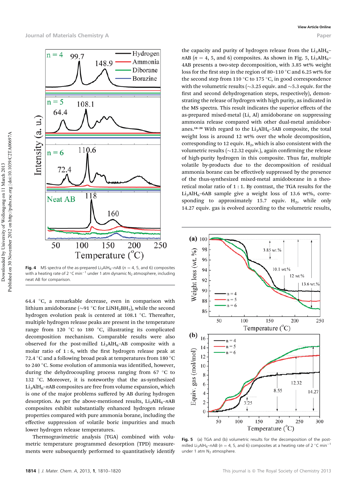

**Fig. 4** MS spectra of the as-prepared Li<sub>3</sub>AlH<sub>6</sub>–nAB ( $n = 4$ , 5, and 6) composites with a heating rate of 2  $^{\circ}$ C min $^{-1}$  under 1 atm dynamic N $_2$  atmosphere, including neat AB for comparison.

64.4  $\,^{\circ}$ C, a remarkable decrease, even in comparison with lithium amidoborane ( $\sim$ 91 °C for LiNH<sub>2</sub>BH<sub>3</sub>), while the second hydrogen evolution peak is centered at 108.1  $^{\circ}$ C. Thereafter, multiple hydrogen release peaks are present in the temperature range from 120  $\degree$ C to 180  $\degree$ C, illustrating its complicated decomposition mechanism. Comparable results were also observed for the post-milled  $Li<sub>3</sub>AlH<sub>6</sub>–AB$  composite with a molar ratio of  $1:6$ , with the first hydrogen release peak at 72.4  $^{\circ} \mathrm{C}$  and a following broad peak at temperatures from 180  $^{\circ} \mathrm{C}$ to 240 °C. Some evolution of ammonia was identified, however, during the dehydrocoupling process ranging from 67  $\degree$ C to 132  $\degree$ C. Moreover, it is noteworthy that the as-synthesized  $Li<sub>3</sub>AlH<sub>6</sub>–nAB$  composites are free from volume expansion, which is one of the major problems suffered by AB during hydrogen desorption. As per the above-mentioned results,  $Li<sub>3</sub>AlH<sub>6</sub>-nAB$ composites exhibit substantially enhanced hydrogen release properties compared with pure ammonia borane, including the effective suppression of volatile boric impurities and much lower hydrogen release temperatures.

Thermogravimetric analysis (TGA) combined with volumetric temperature programmed desorption (TPD) measurements were subsequently performed to quantitatively identify

the capacity and purity of hydrogen release from the  $Li<sub>3</sub>AlH<sub>6</sub>$ –  $nAB (n = 4, 5, and 6)$  composites. As shown in Fig. 5, Li<sub>3</sub>AlH<sub>6</sub>– 4AB presents a two-step decomposition, with 3.85 wt% weight loss for the first step in the region of 80-110  $^{\circ}$ C and 6.25 wt% for the second step from 110  $\mathrm{^{\circ}C}$  to 175  $\mathrm{^{\circ}C}$ , in good correspondence with the volumetric results ( $\sim$ 3.25 equiv. and  $\sim$ 5.3 equiv. for the first and second dehydrogenation steps, respectively), demonstrating the release of hydrogen with high purity, as indicated in the MS spectra. This result indicates the superior effects of the as-prepared mixed-metal (Li, Al) amidoborane on suppressing ammonia release compared with other dual-metal amidoboranes.<sup>18–20</sup> With regard to the  $Li<sub>3</sub>AlH<sub>6</sub>–5AB$  composite, the total weight loss is around 12 wt% over the whole decomposition, corresponding to 12 equiv.  $H_2$ , which is also consistent with the volumetric results ( $\sim$ 12.32 equiv.), again confirming the release of high-purity hydrogen in this composite. Thus far, multiple volatile by-products due to the decomposition of residual ammonia borane can be effectively suppressed by the presence of the thus-synthesized mixed-metal amidoborane in a theoretical molar ratio of 1 : 1. By contrast, the TGA results for the  $Li<sub>3</sub>AlH<sub>6</sub>$ –6AB sample give a weight loss of 13.6 wt%, corresponding to approximately 15.7 equiv.  $H_2$ , while only 14.27 equiv. gas is evolved according to the volumetric results,



Fig. 5 (a) TGA and (b) volumetric results for the decomposition of the postmilled Li<sub>3</sub>AlH<sub>6</sub>–nAB ( $n = 4$ , 5, and 6) composites at a heating rate of 2 °C min<sup>-1</sup> under 1 atm  $N_2$  atmosphere.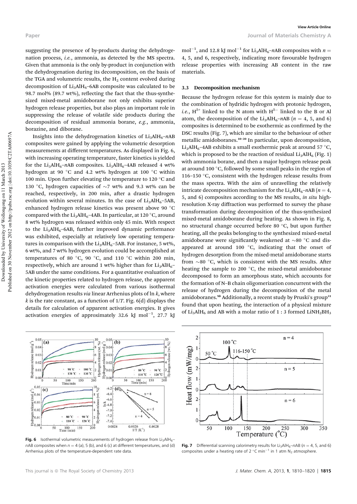suggesting the presence of by-products during the dehydrogenation process, i.e., ammonia, as detected by the MS spectra. Given that ammonia is the only by-product in conjunction with the dehydrogenation during its decomposition, on the basis of the TGA and volumetric results, the  $H<sub>2</sub>$  content evolved during decomposition of  $Li<sub>3</sub>AlH<sub>6</sub>$ –6AB composite was calculated to be 98.7 mol% (89.7 wt%), reflecting the fact that the thus-synthesized mixed-metal amidoborane not only exhibits superior hydrogen release properties, but also plays an important role in suppressing the release of volatile side products during the decomposition of residual ammonia borane, e.g., ammonia, borazine, and diborane.

Insights into the dehydrogenation kinetics of  $Li<sub>3</sub>AlH<sub>6</sub>-nAB$ composites were gained by applying the volumetric desorption measurements at different temperatures. As displayed in Fig. 6, with increasing operating temperature, faster kinetics is yielded for the Li<sub>3</sub>AlH<sub>6</sub>–nAB composites. Li<sub>3</sub>AlH<sub>6</sub>–4AB released 4 wt% hydrogen at 90  $^{\circ} \mathrm{C}$  and 4.2 wt% hydrogen at 100  $^{\circ} \mathrm{C}$  within 100 min. Upon further elevating the temperature to 120  $^{\circ}$ C and 130 °C, hydrogen capacities of  $\sim$ 7 wt% and 9.3 wt% can be reached, respectively, in 200 min, after a drastic hydrogen evolution within several minutes. In the case of  $Li<sub>3</sub>AlH<sub>6</sub>–5AB$ , enhanced hydrogen release kinetics was present above 90  $^{\circ} \mathrm{C}$ compared with the  $\textrm{Li}_{3}\textrm{AlH}_{6}$ –4AB. In particular, at 120 °C, around 8 wt% hydrogen was released within only 45 min. With respect to the  $Li<sub>3</sub>AlH<sub>6</sub>$ -6AB, further improved dynamic performance was exhibited, especially at relatively low operating temperatures in comparison with the  $Li<sub>3</sub>AlH<sub>6</sub>$ -5AB. For instance, 5 wt%, 6 wt%, and 7 wt% hydrogen evolution could be accomplished at temperatures of 80  $^{\circ}$ C, 90  $^{\circ}$ C, and 110  $^{\circ}$ C within 200 min, respectively, which are around 1 wt% higher than for  $Li<sub>3</sub>AlH<sub>6</sub>$ -5AB under the same conditions. For a quantitative evaluation of the kinetic properties related to hydrogen release, the apparent activation energies were calculated from various isothermal dehydrogenation results *via* linear Arrhenius plots of  $\ln k$ , where k is the rate constant, as a function of  $1/T$ . Fig. 6(d) displays the details for calculation of apparent activation energies. It gives activation energies of approximately 32.6 kJ mol $^{-1}$ , 27.7 kJ

mol<sup>-1</sup>, and 12.8 kJ mol<sup>-1</sup> for Li<sub>3</sub>AlH<sub>6</sub>-nAB composites with  $n =$ 4, 5, and 6, respectively, indicating more favourable hydrogen release properties with increasing AB content in the raw materials.

#### 3.3 Decomposition mechanism

Because the hydrogen release for this system is mainly due to the combination of hydridic hydrogen with protonic hydrogen, *i.e.*,  $H^{\delta+}$  linked to the N atom with  $H^{\delta-}$  linked to the B or Al atom, the decomposition of the Li<sub>3</sub>AlH<sub>6</sub>–nAB ( $n = 4$ , 5, and 6) composites is determined to be exothermic as confirmed by the DSC results (Fig. 7), which are similar to the behaviour of other metallic amidoboranes.<sup>10-20</sup> In particular, upon decomposition,  $Li<sub>3</sub>AlH<sub>6</sub>$ -4AB exhibits a small exothermic peak at around 57 °C, which is proposed to be the reaction of residual  $Li<sub>3</sub>AlH<sub>6</sub>$  (Fig. 1) with ammonia borane, and then a major hydrogen release peak at around 100 $\degree$ C, followed by some small peaks in the region of 116-150  $\degree$ C, consistent with the hydrogen release results from the mass spectra. With the aim of unravelling the relatively intricate decomposition mechanism for the Li<sub>3</sub>AlH<sub>6</sub>–nAB ( $n = 4$ , 5, and 6) composites according to the MS results, in situ highresolution X-ray diffraction was performed to survey the phase transformation during decomposition of the thus-synthesized mixed-metal amidoborane during heating. As shown in Fig. 8, no structural change occurred before 80  $\degree$ C, but upon further heating, all the peaks belonging to the synthesized mixed-metal amidoborane were significantly weakened at  ${\sim}80$   $^{\circ}{\rm C}$  and disappeared at around 100 $\degree$ C, indicating that the onset of hydrogen desorption from the mixed-metal amidoborane starts from  $\sim$ 80 °C, which is consistent with the MS results. After heating the sample to 200  $^{\circ}$ C, the mixed-metal amidoborane decomposed to form an amorphous state, which accounts for the formation of N–B chain oligomerization concurrent with the release of hydrogen during the decomposition of the metal amidoboranes.<sup>9b</sup> Additionally, a recent study by Pruski's group<sup>31</sup> found that upon heating, the interaction of a physical mixture of Li<sub>3</sub>AlH<sub>6</sub> and AB with a molar ratio of 1 : 3 formed LiNH<sub>2</sub>BH<sub>3</sub>



Fig. 6 Isothermal volumetric measurements of hydrogen release from Li<sub>3</sub>AlH<sub>6</sub> $nAB$  composites when  $n = 4$  (a), 5 (b), and 6 (c) at different temperatures, and (d) Arrhenius plots of the temperature-dependent rate data.



Fig. 7 Differential scanning calorimetry results for Li<sub>3</sub>AlH<sub>6</sub>–nAB ( $n = 4$ , 5, and 6) composites under a heating rate of 2  $^{\circ}$ C min<sup>-1</sup> in 1 atm N<sub>2</sub> atmosphere.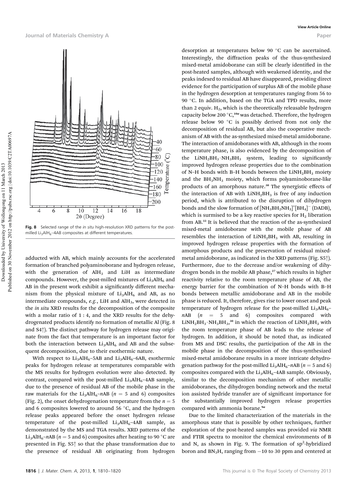

Fig. 8 Selected range of the *in situ* high-resolution XRD patterns for the postmilled Li<sub>3</sub>AlH<sub>6</sub>-4AB composites at different temperatures.

adducted with AB, which mainly accounts for the accelerated formation of branched polyaminoborane and hydrogen release, with the generation of  $AH<sub>3</sub>$  and LiH as intermediate compounds. However, the post-milled mixtures of  $Li<sub>3</sub>AlH<sub>6</sub>$  and AB in the present work exhibit a significantly different mechanism from the physical mixture of  $Li<sub>3</sub>AlH<sub>6</sub>$  and AB, as no intermediate compounds,  $e.g., LiH$  and  $AlH<sub>3</sub>$ , were detected in the in situ XRD results for the decomposition of the composite with a molar ratio of  $1:4$ , and the XRD results for the dehydrogenated products identify no formation of metallic Al (Fig. 8 and S4†). The distinct pathway for hydrogen release may originate from the fact that temperature is an important factor for both the interaction between  $Li<sub>3</sub>AlH<sub>6</sub>$  and AB and the subsequent decomposition, due to their exothermic nature.

With respect to  $Li_3AlH_6$ –5AB and  $Li_3AlH_6$ –6AB, exothermic peaks for hydrogen release at temperatures comparable with the MS results for hydrogen evolution were also detected. By contrast, compared with the post-milled  $Li<sub>3</sub>AlH<sub>6</sub>–4AB$  sample, due to the presence of residual AB of the mobile phase in the raw materials for the Li<sub>3</sub>AlH<sub>6</sub>–nAB ( $n = 5$  and 6) composites (Fig. 2), the onset dehydrogenation temperature from the  $n = 5$ and 6 composites lowered to around 56  $^{\circ}{\rm C,}$  and the hydrogen release peaks appeared before the onset hydrogen release temperature of the post-milled  $Li<sub>3</sub>AlH<sub>6</sub>-4AB$  sample, as demonstrated by the MS and TGA results. XRD patterns of the Li<sub>3</sub>AlH<sub>6</sub>–nAB ( $n = 5$  and 6) composites after heating to 90 °C are presented in Fig. S5† so that the phase transformation due to the presence of residual AB originating from hydrogen

desorption at temperatures below 90  $\degree$ C can be ascertained. Interestingly, the diffraction peaks of the thus-synthesized mixed-metal amidoborane can still be clearly identified in the post-heated samples, although with weakened identity, and the peaks indexed to residual AB have disappeared, providing direct evidence for the participation of surplus AB of the mobile phase in the hydrogen desorption at temperatures ranging from 56 to 90 °C. In addition, based on the TGA and TPD results, more than 2 equiv.  $H_2$ , which is the theoretically releasable hydrogen capacity below 200 °C,<sup>10a</sup> was detached. Therefore, the hydrogen release below 90 $\degree$ C is possibly derived from not only the decomposition of residual AB, but also the cooperative mechanism of AB with the as-synthesized mixed-metal amidoborane. The interaction of amidoboranes with AB, although in the room temperature phase, is also evidenced by the decomposition of the  $LiNH<sub>2</sub>BH<sub>3</sub>·NH<sub>3</sub>BH<sub>3</sub>$  system, leading to significantly improved hydrogen release properties due to the combination of N-H bonds with B-H bonds between the  $LiNH<sub>2</sub>BH<sub>3</sub>$  moiety and the BH<sub>3</sub>NH<sub>3</sub> moiety, which forms polyaminoborane-like products of an amorphous nature.<sup>30</sup> The synergistic effects of the interaction of AB with  $LiNH<sub>2</sub>BH<sub>3</sub>$  is free of any induction period, which is attributed to the disruption of dihydrogen bonds and the slow formation of  $\left[\text{NH}_3\text{BH}_2\text{NH}_3\right]^+ \left[\text{BH}_4\right]^-\text{(DADB)}$ , which is surmised to be a key reactive species for  $H_2$  liberation from AB.<sup>32</sup> It is believed that the reaction of the as-synthesized mixed-metal amidoborane with the mobile phase of AB resembles the interaction of  $LiNH<sub>2</sub>BH<sub>3</sub>$  with AB, resulting in improved hydrogen release properties with the formation of amorphous products and the preservation of residual mixedmetal amidoborane, as indicated in the XRD patterns (Fig. S5†). Furthermore, due to the decrease and/or weakening of dihydrogen bonds in the mobile AB phase,<sup>27</sup> which results in higher reactivity relative to the room temperature phase of AB, the energy barrier for the combination of N–H bonds with B–H bonds between metallic amidoborane and AB in the mobile phase is reduced. It, therefore, gives rise to lower onset and peak temperature of hydrogen release for the post-milled  $Li<sub>3</sub>AlH<sub>6</sub>$  $nAB$  ( $n = 5$  and 6) composites compared with  $LiNH<sub>2</sub>BH<sub>3</sub>·NH<sub>3</sub>BH<sub>3</sub><sup>30</sup>$  in which the reaction of  $LiNH<sub>2</sub>BH<sub>3</sub>$  with the room temperature phase of AB leads to the release of hydrogen. In addition, it should be noted that, as indicated from MS and DSC results, the participation of the AB in the mobile phase in the decomposition of the thus-synthesized mixed-metal amidoborane results in a more intricate dehydrogenation pathway for the post-milled  $Li<sub>3</sub>AlH<sub>6</sub>–nAB$  ( $n = 5$  and 6) composites compared with the  $Li<sub>3</sub>AlH<sub>6</sub>–4AB$  sample. Obviously, similar to the decomposition mechanism of other metallic amidoboranes, the dihydrogen bonding network and the metal ion assisted hydride transfer are of significant importance for the substantially improved hydrogen release properties compared with ammonia borane.<sup>9a</sup>

Due to the limited characterization of the materials in the amorphous state that is possible by other techniques, further exploration of the post-heated samples was provided via NMR and FTIR spectra to monitor the chemical environments of B and N, as shown in Fig. 9. The formation of  $sp^2$ -hybridized boron and  $BN<sub>3</sub>H$ , ranging from  $-10$  to 30 ppm and centered at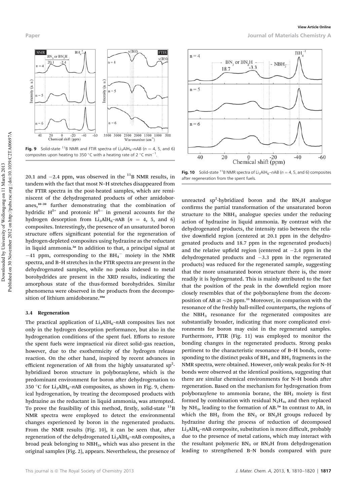

**Fig. 9** Solid-state <sup>11</sup>B NMR and FTIR spectra of Li<sub>3</sub>AlH<sub>6</sub>–nAB ( $n = 4$ , 5, and 6) composites upon heating to 350 °C with a heating rate of 2 °C min<sup>-1</sup> .

20.1 and  $-2.4$  ppm, was observed in the  $^{11}$ B NMR results, in tandem with the fact that most N–H stretches disappeared from the FTIR spectra in the post-heated samples, which are reminiscent of the dehydrogenated products of other amidoboranes,<sup>10</sup>–<sup>20</sup> further demonstrating that the combination of hydridic  $H^{\delta+}$  and protonic  $H^{\delta-}$  in general accounts for the hydrogen desorption from Li<sub>3</sub>AlH<sub>6</sub>-nAB ( $n = 4, 5,$  and 6) composites. Interestingly, the presence of an unsaturated boron structure offers significant potential for the regeneration of hydrogen-depleted composites using hydrazine as the reductant in liquid ammonia. $^{2a}$  In addition to that, a principal signal at  $-41$  ppm, corresponding to the BH<sub>4</sub><sup>-</sup> moiety in the NMR spectra, and B–H stretches in the FTIR spectra are present in the dehydrogenated samples, while no peaks indexed to metal borohydrides are present in the XRD results, indicating the amorphous state of the thus-formed borohydrides. Similar phenomena were observed in the products from the decomposition of lithium amidoborane.<sup>10a</sup>

#### 3.4 Regeneration

The practical application of  $Li<sub>3</sub>AlH<sub>6</sub>–nAB$  composites lies not only in the hydrogen desorption performance, but also in the hydrogenation conditions of the spent fuel. Efforts to restore the spent fuels were impractical via direct solid–gas reaction, however, due to the exothermicity of the hydrogen release reaction. On the other hand, inspired by recent advances in efficient regeneration of AB from the highly unsaturated  $sp^2$ hybridized boron structure in polyborazylene, which is the predominant environment for boron after dehydrogenation to 350 °C for Li<sub>3</sub>AlH<sub>6</sub>-nAB composites, as shown in Fig. 9, chemical hydrogenation, by treating the decomposed products with hydrazine as the reductant in liquid ammonia, was attempted. To prove the feasibility of this method, firstly, solid-state  $^{11}$ B NMR spectra were employed to detect the environmental changes experienced by boron in the regenerated products. From the NMR results (Fig.  $10$ ), it can be seen that, after regeneration of the dehydrogenated  $Li<sub>3</sub>AlH<sub>6</sub>–nAB$  composites, a broad peak belonging to NBH3, which was also present in the original samples (Fig. 2), appears. Nevertheless, the presence of



Fig. 10 Solid-state <sup>11</sup>B NMR spectra of Li<sub>3</sub>AlH<sub>6</sub>–nAB ( $n = 4$ , 5, and 6) composites after regeneration from the spent fuels.

unreacted sp<sup>2</sup>-hybridized boron and the  $BN_3H$  analogue confirms the partial transformation of the unsaturated boron structure to the  $NBH<sub>3</sub>$  analogue species under the reducing action of hydrazine in liquid ammonia. By contrast with the dehydrogenated products, the intensity ratio between the relative downfield region (centered at 20.1 ppm in the dehydrogenated products and 18.7 ppm in the regenerated products) and the relative upfield region (centered at  $-2.4$  ppm in the dehydrogenated products and  $-3.3$  ppm in the regenerated products) was reduced for the regenerated sample, suggesting that the more unsaturated boron structure there is, the more readily it is hydrogenated. This is mainly attributed to the fact that the position of the peak in the downfield region more closely resembles that of the polyborazylene from the decomposition of AB at  $\sim$  26 ppm.<sup>33</sup> Moreover, in comparison with the resonance of the freshly ball-milled counterparts, the regions of the  $NBH<sub>3</sub>$  resonance for the regenerated composites are substantially broader, indicating that more complicated environments for boron may exist in the regenerated samples. Furthermore, FTIR (Fig. 11) was employed to monitor the bonding changes in the regenerated products. Strong peaks pertinent to the characteristic resonance of B–H bonds, corresponding to the distinct peaks of  $BH<sub>4</sub>$  and  $BH<sub>3</sub>$  fragments in the NMR spectra, were obtained. However, only weak peaks for N–H bonds were observed at the identical positions, suggesting that there are similar chemical environments for N-H bonds after regeneration. Based on the mechanism for hydrogenation from polyborazylene to ammonia borane, the  $BH<sub>3</sub>$  moiety is first formed by combination with residual  $N_2H_4$ , and then replaced by  $NH_3$ , leading to the formation of AB.<sup>2a</sup> In contrast to AB, in which the  $BH<sub>3</sub>$  from the  $BN<sub>3</sub>$  or  $BN<sub>3</sub>H$  groups reduced by hydrazine during the process of reduction of decomposed  $Li<sub>3</sub>AlH<sub>6</sub>–nAB composite, substitution is more difficult, probably$ due to the presence of metal cations, which may interact with the resultant polymeric  $BN<sub>3</sub>$  or  $BN<sub>3</sub>H$  from dehydrogenation leading to strengthened B–N bonds compared with pure

Paper Journal of Materials Chemistry A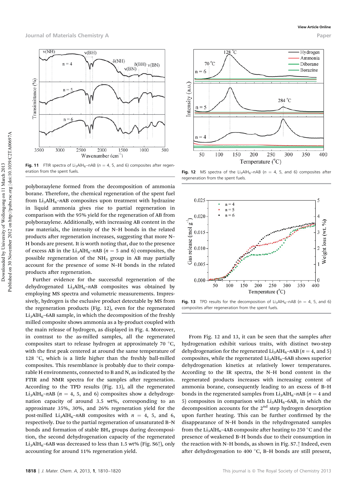

**Fig. 11** FTIR spectra of Li<sub>3</sub>AlH<sub>6</sub>–nAB ( $n = 4$ , 5, and 6) composites after regeneration from the spent fuels.

polyborazylene formed from the decomposition of ammonia borane. Therefore, the chemical regeneration of the spent fuel from  $Li_3AlH_6-\eta AB$  composites upon treatment with hydrazine in liquid ammonia gives rise to partial regeneration in comparison with the 95% yield for the regeneration of AB from polyborazylene. Additionally, with increasing AB content in the raw materials, the intensity of the N–H bonds in the related products after regeneration increases, suggesting that more N– H bonds are present. It is worth noting that, due to the presence of excess AB in the Li<sub>3</sub>AlH<sub>6</sub>–nAB ( $n = 5$  and 6) composites, the possible regeneration of the  $NH<sub>3</sub>$  group in AB may partially account for the presence of some N–H bonds in the related products after regeneration.

Further evidence for the successful regeneration of the dehydrogenated Li<sub>3</sub>AlH<sub>6</sub>-nAB composites was obtained by employing MS spectra and volumetric measurements. Impressively, hydrogen is the exclusive product detectable by MS from the regeneration products (Fig. 12), even for the regenerated  $Li<sub>3</sub>AlH<sub>6</sub>$ –6AB sample, in which the decomposition of the freshly milled composite shows ammonia as a by-product coupled with the main release of hydrogen, as displayed in Fig. 4. Moreover, in contrast to the as-milled samples, all the regenerated composites start to release hydrogen at approximately 70  $^{\circ}{\rm C},$ with the first peak centered at around the same temperature of 128  $\degree$ C, which is a little higher than the freshly ball-milled composites. This resemblance is probably due to their comparable H environments, connected to B and N, as indicated by the FTIR and NMR spectra for the samples after regeneration. According to the TPD results (Fig. 13), all the regenerated Li<sub>3</sub>AlH<sub>6</sub>–nAB ( $n = 4$ , 5, and 6) composites show a dehydrogenation capacity of around 3.5 wt%, corresponding to an approximate 35%, 30%, and 26% regeneration yield for the post-milled Li<sub>3</sub>AlH<sub>6</sub>-nAB composites with  $n = 4, 5,$  and 6, respectively. Due to the partial regeneration of unsaturated B–N bonds and formation of stable  $BH<sub>4</sub>$  groups during decomposition, the second dehydrogenation capacity of the regenerated  $Li<sub>3</sub>AlH<sub>6</sub>–6AB$  was decreased to less than 1.5 wt% (Fig. S6<sup>†</sup>), only accounting for around 11% regeneration yield.



Fig. 12 MS spectra of the Li<sub>3</sub>AlH<sub>6</sub>–nAB ( $n = 4$ , 5, and 6) composites after regeneration from the spent fuels.



Fig. 13 TPD results for the decomposition of Li<sub>3</sub>AlH<sub>6</sub>–nAB ( $n = 4$ , 5, and 6) composites after regeneration from the spent fuels.

From Fig. 12 and 13, it can be seen that the samples after hydrogenation exhibit various traits, with distinct two-step dehydrogenation for the regenerated  $Li<sub>3</sub>AlH<sub>6</sub>–nAB$  ( $n = 4$ , and 5) composites, while the regenerated  $Li<sub>3</sub>AlH<sub>6</sub>$ –6AB shows superior dehydrogenation kinetics at relatively lower temperatures. According to the IR spectra, the N–H bond content in the regenerated products increases with increasing content of ammonia borane, consequently leading to an excess of B–H bonds in the regenerated samples from  $Li_3AlH_6-\eta AB$  ( $n = 4$  and 5) composites in comparison with  $Li<sub>3</sub>AlH<sub>6</sub>$ –6AB, in which the decomposition accounts for the  $2<sup>nd</sup>$  step hydrogen desorption upon further heating. This can be further confirmed by the disappearance of N–H bonds in the rehydrogenated samples from the  $Li_3AlH_6$ –4AB composite after heating to 250 °C and the presence of weakened B–H bonds due to their consumption in the reaction with N–H bonds, as shown in Fig. S7.† Indeed, even after dehydrogenation to 400  $\,^{\circ}$ C, B-H bonds are still present,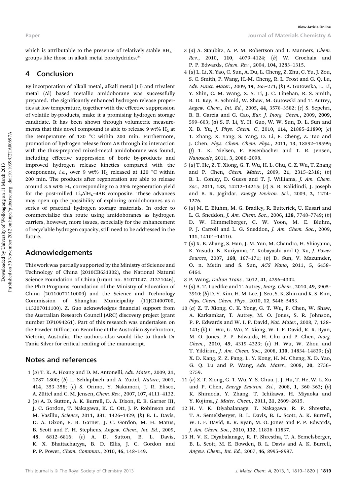which is attributable to the presence of relatively stable  $\rm BH_4^$ groups like those in alkali metal borohydrides.<sup>34</sup>

#### 4 Conclusion

By incorporation of alkali metal, alkali metal (Li) and trivalent metal (Al) based metallic amidoborane was successfully prepared. The significantly enhanced hydrogen release properties at low temperature, together with the effective suppression of volatile by-products, make it a promising hydrogen storage candidate. It has been shown through volumetric measurements that this novel compound is able to release 9 wt%  $H_2$  at the temperature of 130  $^{\circ} \mathrm{C}$  within 200 min. Furthermore, promotion of hydrogen release from AB through its interaction with the thus-prepared mixed-metal amidoborane was found, including effective suppression of boric by-products and improved hydrogen release kinetics compared with the components, *i.e.*, over 9 wt%  $H_2$  released at 120  $^{\circ}$ C within 200 min. The products after regeneration are able to release around 3.5 wt%  $H_2$  corresponding to a 35% regeneration yield for the post-milled  $Li<sub>3</sub>AlH<sub>6</sub>-4AB$  composite. These advances may open up the possibility of exploring amidoboranes as a series of practical hydrogen storage materials. In order to commercialize this route using amidoboranes as hydrogen carriers, however, more issues, especially for the enhancement of recyclable hydrogen capacity, still need to be addressed in the future.

#### Acknowledgements

This work was partially supported by the Ministry of Science and Technology of China (2010CB631302), the National Natural Science Foundation of China (Grant no. 51071047, 21271046), the PhD Programs Foundation of the Ministry of Education of China (20110071110009) and the Science and Technology Commission of Shanghai Municipality (11JC1400700, 115207011100). Z. Guo acknowledges financial support from the Australian Research Council (ARC) discovery project (grant number DP1094261). Part of this research was undertaken on the Powder Diffraction Beamline at the Australian Synchrotron, Victoria, Australia. The authors also would like to thank Dr Tania Silver for critical reading of the manuscript.

## Notes and references

- 1 (a) T. K. A. Hoang and D. M. Antonelli, Adv. Mater., 2009, 21, 1787–1800; (b) L. Schlapbach and A. Zuttel, Nature, 2001, 414, 353–358; (c) S. Orimo, Y. Nakamori, J. R. Eliseo, A. Züttel and C. M. Jensen, Chem. Rev., 2007, 107, 4111-4132.
- 2 (a) A. D. Sutton, A. K. Burrell, D. A. Dixon, E. B. Garner III, J. C. Gordon, T. Nakagawa, K. C. Ott, J. P. Robinson and M. Vasiliu, Science, 2011, 331, 1426–1429; (b) B. L. Davis, D. A. Dixon, E. B. Garner, J. C. Gordon, M. H. Matus, B. Scott and F. H. Stephens, Angew. Chem., Int. Ed., 2009, 48, 6812–6816; (c) A. D. Sutton, B. L. Davis, K. X. Bhattacharyya, B. D. Ellis, J. C. Gordon and P. P. Power, Chem. Commun., 2010, 46, 148–149.
- 3 (a) A. Staubitz, A. P. M. Robertson and I. Manners, Chem. Rev., 2010, 110, 4079–4124; (b) W. Grochala and P. P. Edwards, Chem. Rev., 2004, 104, 1283–1315.
- 4 (a) L. Li, X. Yao, C. Sun, A. Du, L. Cheng, Z. Zhu, C. Yu, J. Zou, S. C. Smith, P. Wang, H.-M. Cheng, R. L. Frost and G. Q. Lu, Adv. Funct. Mater., 2009, 19, 265–271; (b) A. Gutowska, L. Li, Y. Shin, C. M. Wang, X. S. Li, J. C. Linehan, R. S. Smith, B. D. Kay, B. Schmid, W. Shaw, M. Gutowski and T. Autrey, Angew. Chem., Int. Ed., 2005, 44, 3578–3582; (c) S. Sepehri, B. B. García and G. Cao, Eur. J. Inorg. Chem., 2009, 2009, 599–603; (d) S. F. Li, Y. H. Guo, W. W. Sun, D. L. Sun and X. B. Yu, J. Phys. Chem. C, 2010, 114, 21885–21890; (e) T. Zhang, X. Yang, S. Yang, D. Li, F. Cheng, Z. Tao and J. Chen, Phys. Chem. Chem. Phys., 2011, 13, 18592–18599; (f) T. K. Nielsen, F. Besenbacher and T. R. Jensen, Nanoscale, 2011, 3, 2086–2098.
- 5 (a) T. He, Z. T. Xiong, G. T. Wu, H. L. Chu, C. Z. Wu, T. Zhang and P. Chen, Chem. Mater., 2009, 21, 2315–2318; (b) B. L. Conley, D. Guess and T. J. Williams, J. Am. Chem. Soc., 2011, 133, 14212–14215; (c) S. B. Kalidindi, J. Joseph and B. R. Jagirdar, Energy Environ. Sci., 2009, 2, 1274– 1276.
- 6 (a) M. E. Bluhm, M. G. Bradley, R. Butterick, U. Kusari and L. G. Sneddon, J. Am. Chem. Soc., 2006, 128, 7748–7749; (b) D. W. Himmelberger, C. W. Yoon, M. E. Bluhm, P. J. Carroll and L. G. Sneddon, J. Am. Chem. Soc., 2009, 131, 14101–14110.
- 7 (a) X. B. Zhang, S. Han, J. M. Yan, M. Chandra, H. Shioyama, K. Yasuda, N. Kuriyama, T. Kobayashi and Q. Xu, J. Power Sources, 2007, 168, 167-171; (b) D. Sun, V. Mazumder, O. n. Metin and S. Sun, ACS Nano, 2011, 5, 6458– 6464.
- 8 P. Wang, Dalton Trans., 2012, 41, 4296–4302.
- 9 (a) A. T. Luedtke and T. Autrey, Inorg. Chem., 2010, 49, 3905– 3910; (b) D. Y. Kim, H. M. Lee, J. Seo, S. K. Shin and K. S. Kim, Phys. Chem. Chem. Phys., 2010, 12, 5446–5453.
- 10 (a) Z. T. Xiong, C. K. Yong, G. T. Wu, P. Chen, W. Shaw, A. Karkamkar, T. Autrey, M. O. Jones, S. R. Johnson, P. P. Edwards and W. I. F. David, Nat. Mater., 2008, 7, 138– 141; (b) C. Wu, G. Wu, Z. Xiong, W. I. F. David, K. R. Ryan, M. O. Jones, P. P. Edwards, H. Chu and P. Chen, Inorg. Chem., 2010, 49, 4319–4323; (c) H. Wu, W. Zhou and T. Yildirim, J. Am. Chem. Soc., 2008, 130, 14834–14839; (d) X. D. Kang, Z. Z. Fang, L. Y. Kong, H. M. Cheng, X. D. Yao, G. Q. Lu and P. Wang, Adv. Mater., 2008, 20, 2756– 2759.
- 11 (a) Z. T. Xiong, G. T. Wu, Y. S. Chua, J. J. Hu, T. He, W. L. Xu and P. Chen, Energy Environ. Sci., 2008, 1, 360–363; (b) K. Shimoda, Y. Zhang, T. Ichikawa, H. Miyaoka and Y. Kojima, J. Mater. Chem., 2011, 21, 2609–2615.
- 12 H. V. K. Diyabalanage, T. Nakagawa, R. P. Shrestha, T. A. Semelsberger, B. L. Davis, B. L. Scott, A. K. Burrell, W. I. F. David, K. R. Ryan, M. O. Jones and P. P. Edwards, J. Am. Chem. Soc., 2010, 132, 11836–11837.
- 13 H. V. K. Diyabalanage, R. P. Shrestha, T. A. Semelsberger, B. L. Scott, M. E. Bowden, B. L. Davis and A. K. Burrell, Angew. Chem., Int. Ed., 2007, 46, 8995–8997.